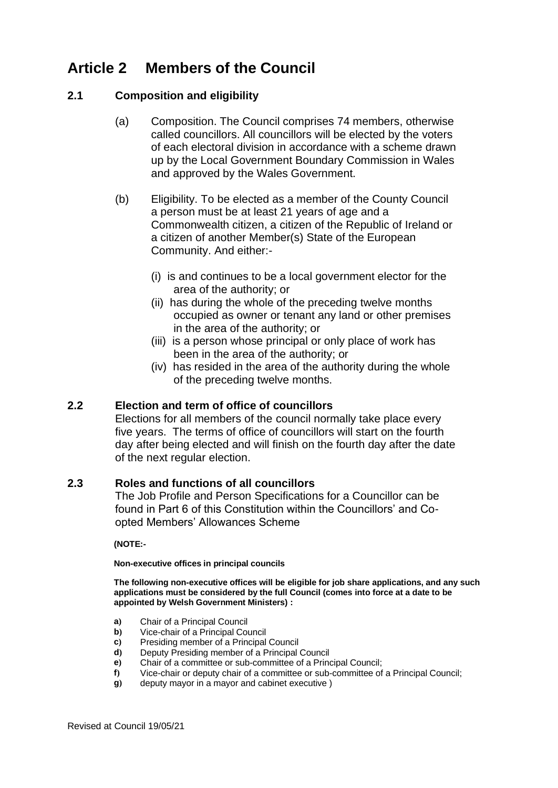# **Article 2 Members of the Council**

## **2.1 Composition and eligibility**

- (a) Composition. The Council comprises 74 members, otherwise called councillors. All councillors will be elected by the voters of each electoral division in accordance with a scheme drawn up by the Local Government Boundary Commission in Wales and approved by the Wales Government.
- (b) Eligibility. To be elected as a member of the County Council a person must be at least 21 years of age and a Commonwealth citizen, a citizen of the Republic of Ireland or a citizen of another Member(s) State of the European Community. And either:-
	- (i) is and continues to be a local government elector for the area of the authority; or
	- (ii)has during the whole of the preceding twelve months occupied as owner or tenant any land or other premises in the area of the authority; or
	- (iii) is a person whose principal or only place of work has been in the area of the authority; or
	- (iv) has resided in the area of the authority during the whole of the preceding twelve months.

## **2.2 Election and term of office of councillors**

Elections for all members of the council normally take place every five years. The terms of office of councillors will start on the fourth day after being elected and will finish on the fourth day after the date of the next regular election.

## **2.3 Roles and functions of all councillors**

The Job Profile and Person Specifications for a Councillor can be found in Part 6 of this Constitution within the Councillors' and Coopted Members' Allowances Scheme

**(NOTE:-**

#### **Non-executive offices in principal councils**

**The following non-executive offices will be eligible for job share applications, and any such applications must be considered by the full Council (comes into force at a date to be appointed by Welsh Government Ministers) :** 

- **a)** Chair of a Principal Council
- **b)** Vice-chair of a Principal Council
- **c)** Presiding member of a Principal Council
- **d)** Deputy Presiding member of a Principal Council
- **e)** Chair of a committee or sub-committee of a Principal Council;
- **f)** Vice-chair or deputy chair of a committee or sub-committee of a Principal Council;
- **g)** deputy mayor in a mayor and cabinet executive )